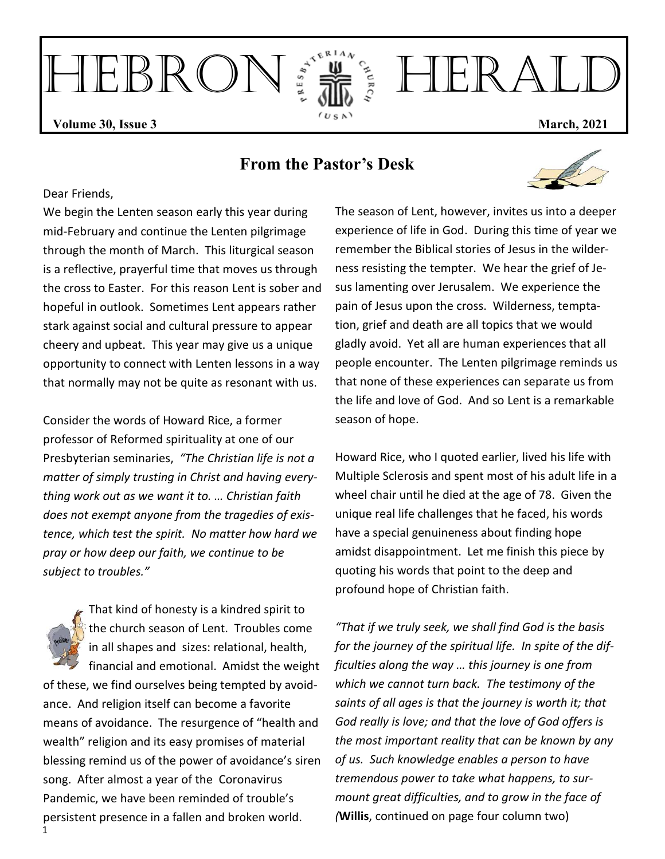HEBRON FIRAL **Volume 30, Issue 3** March, 2021

## **From the Pastor's Desk**

#### Dear Friends,

We begin the Lenten season early this year during mid-February and continue the Lenten pilgrimage through the month of March. This liturgical season is a reflective, prayerful time that moves us through the cross to Easter. For this reason Lent is sober and hopeful in outlook. Sometimes Lent appears rather stark against social and cultural pressure to appear cheery and upbeat. This year may give us a unique opportunity to connect with Lenten lessons in a way that normally may not be quite as resonant with us.

Consider the words of Howard Rice, a former professor of Reformed spirituality at one of our Presbyterian seminaries, *"The Christian life is not a matter of simply trusting in Christ and having everything work out as we want it to. … Christian faith does not exempt anyone from the tragedies of existence, which test the spirit. No matter how hard we pray or how deep our faith, we continue to be subject to troubles."*

That kind of honesty is a kindred spirit to the church season of Lent. Troubles come in all shapes and sizes: relational, health, financial and emotional. Amidst the weight of these, we find ourselves being tempted by avoidance. And religion itself can become a favorite means of avoidance. The resurgence of "health and wealth" religion and its easy promises of material blessing remind us of the power of avoidance's siren song. After almost a year of the Coronavirus Pandemic, we have been reminded of trouble's persistent presence in a fallen and broken world.

The season of Lent, however, invites us into a deeper experience of life in God. During this time of year we remember the Biblical stories of Jesus in the wilderness resisting the tempter. We hear the grief of Jesus lamenting over Jerusalem. We experience the pain of Jesus upon the cross. Wilderness, temptation, grief and death are all topics that we would gladly avoid. Yet all are human experiences that all people encounter. The Lenten pilgrimage reminds us that none of these experiences can separate us from the life and love of God. And so Lent is a remarkable season of hope.

Howard Rice, who I quoted earlier, lived his life with Multiple Sclerosis and spent most of his adult life in a wheel chair until he died at the age of 78. Given the unique real life challenges that he faced, his words have a special genuineness about finding hope amidst disappointment. Let me finish this piece by quoting his words that point to the deep and profound hope of Christian faith.

*"That if we truly seek, we shall find God is the basis for the journey of the spiritual life. In spite of the difficulties along the way … this journey is one from which we cannot turn back. The testimony of the saints of all ages is that the journey is worth it; that God really is love; and that the love of God offers is the most important reality that can be known by any of us. Such knowledge enables a person to have tremendous power to take what happens, to surmount great difficulties, and to grow in the face of (***Willis**, continued on page four column two)



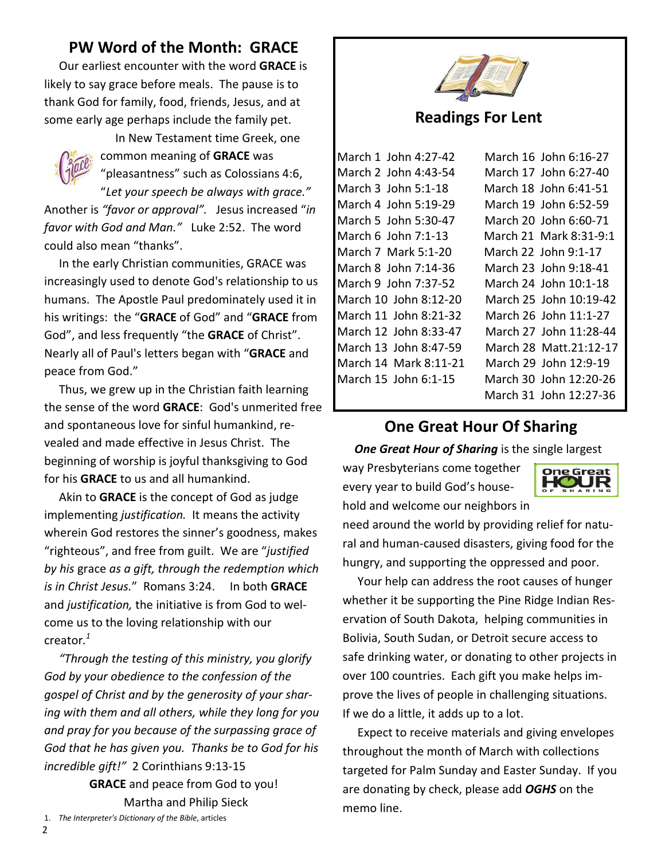## **PW Word of the Month: GRACE**

 Our earliest encounter with the word **GRACE** is likely to say grace before meals. The pause is to thank God for family, food, friends, Jesus, and at some early age perhaps include the family pet.



 In New Testament time Greek, one common meaning of **GRACE** was "pleasantness" such as Colossians 4:6,

"*Let your speech be always with grace."*  Another is *"favor or approval".* Jesus increased "*in favor with God and Man."* Luke 2:52. The word could also mean "thanks".

 In the early Christian communities, GRACE was increasingly used to denote God's relationship to us humans. The Apostle Paul predominately used it in his writings: the "**GRACE** of God" and "**GRACE** from God", and less frequently "the **GRACE** of Christ". Nearly all of Paul's letters began with "**GRACE** and peace from God."

 Thus, we grew up in the Christian faith learning the sense of the word **GRACE**: God's unmerited free and spontaneous love for sinful humankind, revealed and made effective in Jesus Christ. The beginning of worship is joyful thanksgiving to God for his **GRACE** to us and all humankind.

 Akin to **GRACE** is the concept of God as judge implementing *justification.* It means the activity wherein God restores the sinner's goodness, makes "righteous", and free from guilt. We are "*justified by his* grace *as a gift, through the redemption which is in Christ Jesus.*" Romans 3:24. In both **GRACE**  and *justification,* the initiative is from God to welcome us to the loving relationship with our creator*. 1*

 *"Through the testing of this ministry, you glorify God by your obedience to the confession of the gospel of Christ and by the generosity of your sharing with them and all others, while they long for you and pray for you because of the surpassing grace of God that he has given you. Thanks be to God for his incredible gift!"* 2 Corinthians 9:13-15

**GRACE** and peace from God to you! Martha and Philip Sieck 1. *The Interpreter's Dictionary of the Bible*, articles



#### **Readings For Lent**

| March 1 John 4:27-42  | March 16 John 6:16-27  |
|-----------------------|------------------------|
| March 2 John 4:43-54  | March 17 John 6:27-40  |
| March 3 John 5:1-18   | March 18 John 6:41-51  |
| March 4 John 5:19-29  | March 19 John 6:52-59  |
| March 5 John 5:30-47  | March 20 John 6:60-71  |
| March 6 John 7:1-13   | March 21 Mark 8:31-9:1 |
| March 7 Mark 5:1-20   | March 22 John 9:1-17   |
| March 8 John 7:14-36  | March 23 John 9:18-41  |
| March 9 John 7:37-52  | March 24 John 10:1-18  |
| March 10 John 8:12-20 | March 25 John 10:19-42 |
| March 11 John 8:21-32 | March 26 John 11:1-27  |
| March 12 John 8:33-47 | March 27 John 11:28-44 |
| March 13 John 8:47-59 | March 28 Matt.21:12-17 |
| March 14 Mark 8:11-21 | March 29 John 12:9-19  |
| March 15 John 6:1-15  | March 30 John 12:20-26 |
|                       | March 31 John 12:27-36 |

## **One Great Hour Of Sharing**

**One Great Hour of Sharing** is the single largest

way Presbyterians come together every year to build God's household and welcome our neighbors in



need around the world by providing relief for natural and human-caused disasters, giving food for the hungry, and supporting the oppressed and poor.

 Your help can address the root causes of hunger whether it be supporting the Pine Ridge Indian Reservation of South Dakota, helping communities in Bolivia, South Sudan, or Detroit secure access to safe drinking water, or donating to other projects in over 100 countries. Each gift you make helps improve the lives of people in challenging situations. If we do a little, it adds up to a lot.

 Expect to receive materials and giving envelopes throughout the month of March with collections targeted for Palm Sunday and Easter Sunday. If you are donating by check, please add *OGHS* on the memo line.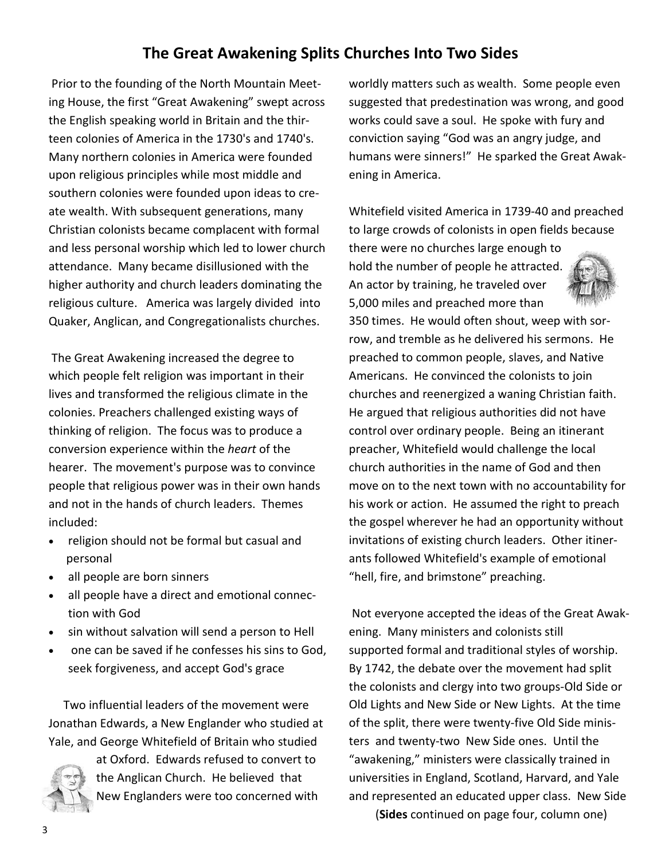## **The Great Awakening Splits Churches Into Two Sides**

Prior to the founding of the North Mountain Meeting House, the first "Great Awakening" swept across the English speaking world in Britain and the thirteen colonies of America in the 1730's and 1740's. Many northern colonies in America were founded upon religious principles while most middle and southern colonies were founded upon ideas to create wealth. With subsequent generations, many Christian colonists became complacent with formal and less personal worship which led to lower church attendance. Many became disillusioned with the higher authority and church leaders dominating the religious culture. America was largely divided into Quaker, Anglican, and Congregationalists churches.

 The Great Awakening increased the degree to which people felt religion was important in their lives and transformed the religious climate in the colonies. Preachers challenged existing ways of thinking of religion. The focus was to produce a conversion experience within the *heart* of the hearer. The movement's purpose was to convince people that religious power was in their own hands and not in the hands of church leaders. Themes included:

- religion should not be formal but casual and personal
- all people are born sinners
- all people have a direct and emotional connection with God
- sin without salvation will send a person to Hell
- one can be saved if he confesses his sins to God, seek forgiveness, and accept God's grace

 Two influential leaders of the movement were Jonathan Edwards, a New Englander who studied at Yale, and George Whitefield of Britain who studied



at Oxford. Edwards refused to convert to the Anglican Church. He believed that New Englanders were too concerned with worldly matters such as wealth. Some people even suggested that predestination was wrong, and good works could save a soul. He spoke with fury and conviction saying "God was an angry judge, and humans were sinners!" He sparked the Great Awakening in America.

Whitefield visited America in 1739-40 and preached to large crowds of colonists in open fields because

there were no churches large enough to hold the number of people he attracted. An actor by training, he traveled over 5,000 miles and preached more than



350 times. He would often shout, weep with sorrow, and tremble as he delivered his sermons. He preached to common people, slaves, and Native Americans. He convinced the colonists to join churches and reenergized a waning Christian faith. He argued that religious authorities did not have control over ordinary people. Being an itinerant preacher, Whitefield would challenge the local church authorities in the name of God and then move on to the next town with no accountability for his work or action. He assumed the right to preach the gospel wherever he had an opportunity without invitations of existing church leaders. Other itinerants followed Whitefield's example of emotional "hell, fire, and brimstone" preaching.

 Not everyone accepted the ideas of the Great Awakening. Many ministers and colonists still supported formal and traditional styles of worship. By 1742, the debate over the movement had split the colonists and clergy into two groups-Old Side or Old Lights and New Side or New Lights. At the time of the split, there were twenty-five Old Side ministers and twenty-two New Side ones. Until the "awakening," ministers were classically trained in universities in England, Scotland, Harvard, and Yale and represented an educated upper class. New Side

(**Sides** continued on page four, column one)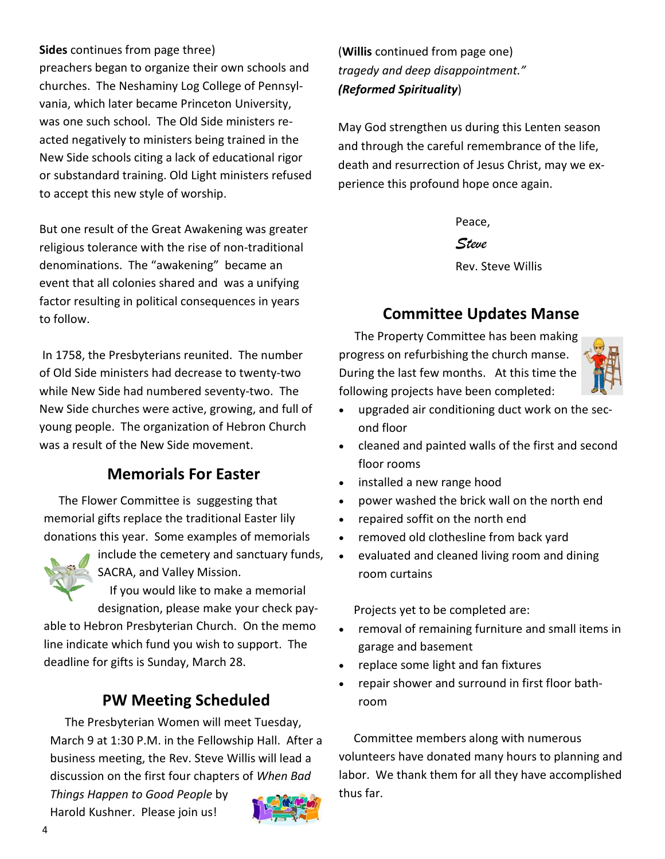**Sides** continues from page three)

preachers began to organize their own schools and churches. The Neshaminy Log College of Pennsylvania, which later became Princeton University, was one such school. The Old Side ministers reacted negatively to ministers being trained in the New Side schools citing a lack of educational rigor or substandard training. Old Light ministers refused to accept this new style of worship.

But one result of the Great Awakening was greater religious tolerance with the rise of non-traditional denominations. The "awakening" became an event that all colonies shared and was a unifying factor resulting in political consequences in years to follow.

 In 1758, the Presbyterians reunited. The number of Old Side ministers had decrease to twenty-two while New Side had numbered seventy-two. The New Side churches were active, growing, and full of young people. The organization of Hebron Church was a result of the New Side movement.

## **Memorials For Easter**

 The Flower Committee is suggesting that memorial gifts replace the traditional Easter lily donations this year. Some examples of memorials



include the cemetery and sanctuary funds, SACRA, and Valley Mission.

 If you would like to make a memorial designation, please make your check pay-

able to Hebron Presbyterian Church. On the memo line indicate which fund you wish to support. The deadline for gifts is Sunday, March 28.

## **PW Meeting Scheduled**

 The Presbyterian Women will meet Tuesday, March 9 at 1:30 P.M. in the Fellowship Hall. After a business meeting, the Rev. Steve Willis will lead a discussion on the first four chapters of *When Bad* 

*Things Happen to Good People* by Harold Kushner. Please join us!



(**Willis** continued from page one) *tragedy and deep disappointment." (Reformed Spirituality*)

May God strengthen us during this Lenten season and through the careful remembrance of the life, death and resurrection of Jesus Christ, may we experience this profound hope once again.

> Peace,  *Steve* Rev. Steve Willis

## **Committee Updates Manse**

The Property Committee has been making progress on refurbishing the church manse. During the last few months. At this time the following projects have been completed:



- upgraded air conditioning duct work on the second floor
- cleaned and painted walls of the first and second floor rooms
- installed a new range hood
- power washed the brick wall on the north end
- repaired soffit on the north end
- removed old clothesline from back yard
- evaluated and cleaned living room and dining room curtains

Projects yet to be completed are:

- removal of remaining furniture and small items in garage and basement
- replace some light and fan fixtures
- repair shower and surround in first floor bathroom

 Committee members along with numerous volunteers have donated many hours to planning and labor. We thank them for all they have accomplished thus far.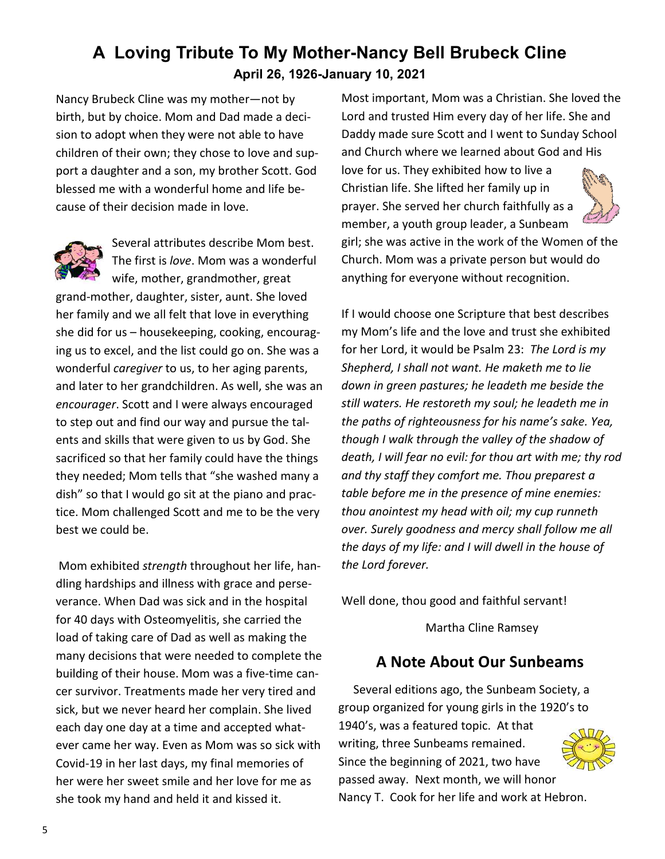## **A Loving Tribute To My Mother-Nancy Bell Brubeck Cline April 26, 1926-January 10, 2021**

Nancy Brubeck Cline was my mother—not by birth, but by choice. Mom and Dad made a decision to adopt when they were not able to have children of their own; they chose to love and support a daughter and a son, my brother Scott. God blessed me with a wonderful home and life because of their decision made in love.



Several attributes describe Mom best. The first is *love*. Mom was a wonderful wife, mother, grandmother, great

grand-mother, daughter, sister, aunt. She loved her family and we all felt that love in everything she did for us – housekeeping, cooking, encouraging us to excel, and the list could go on. She was a wonderful *caregiver* to us, to her aging parents, and later to her grandchildren. As well, she was an *encourager*. Scott and I were always encouraged to step out and find our way and pursue the talents and skills that were given to us by God. She sacrificed so that her family could have the things they needed; Mom tells that "she washed many a dish" so that I would go sit at the piano and practice. Mom challenged Scott and me to be the very best we could be.

 Mom exhibited *strength* throughout her life, handling hardships and illness with grace and perseverance. When Dad was sick and in the hospital for 40 days with Osteomyelitis, she carried the load of taking care of Dad as well as making the many decisions that were needed to complete the building of their house. Mom was a five-time cancer survivor. Treatments made her very tired and sick, but we never heard her complain. She lived each day one day at a time and accepted whatever came her way. Even as Mom was so sick with Covid-19 in her last days, my final memories of her were her sweet smile and her love for me as she took my hand and held it and kissed it.

Most important, Mom was a Christian. She loved the Lord and trusted Him every day of her life. She and Daddy made sure Scott and I went to Sunday School and Church where we learned about God and His love for us. They exhibited how to live a Christian life. She lifted her family up in prayer. She served her church faithfully as a



girl; she was active in the work of the Women of the Church. Mom was a private person but would do anything for everyone without recognition.

member, a youth group leader, a Sunbeam

If I would choose one Scripture that best describes my Mom's life and the love and trust she exhibited for her Lord, it would be Psalm 23: *The Lord is my Shepherd, I shall not want. He maketh me to lie down in green pastures; he leadeth me beside the still waters. He restoreth my soul; he leadeth me in the paths of righteousness for his name's sake. Yea, though I walk through the valley of the shadow of death, I will fear no evil: for thou art with me; thy rod and thy staff they comfort me. Thou preparest a table before me in the presence of mine enemies: thou anointest my head with oil; my cup runneth over. Surely goodness and mercy shall follow me all the days of my life: and I will dwell in the house of the Lord forever.* 

Well done, thou good and faithful servant!

Martha Cline Ramsey

## **A Note About Our Sunbeams**

 Several editions ago, the Sunbeam Society, a group organized for young girls in the 1920's to 1940's, was a featured topic. At that writing, three Sunbeams remained. Since the beginning of 2021, two have passed away. Next month, we will honor



Nancy T. Cook for her life and work at Hebron.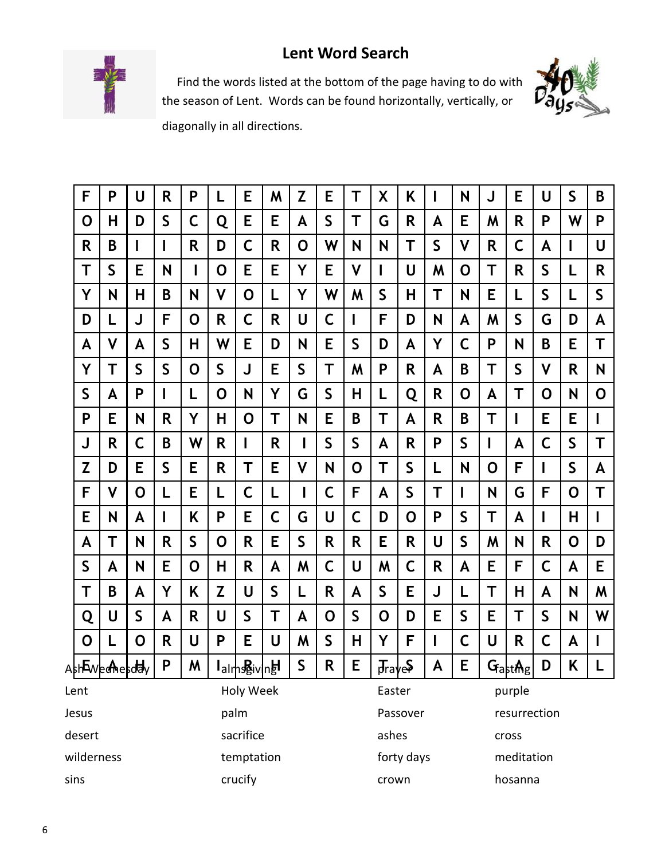## **Lent Word Search**



 Find the words listed at the bottom of the page having to do with the season of Lent. Words can be found horizontally, vertically, or



diagonally in all directions.

| F                 | P         | U | R            | P                                      | L | Е           | M        | Z            | Е | Т            | X                    | Κ  | I                  | N       | J | Е                   | U            | $\mathsf{S}$ | B            |
|-------------------|-----------|---|--------------|----------------------------------------|---|-------------|----------|--------------|---|--------------|----------------------|----|--------------------|---------|---|---------------------|--------------|--------------|--------------|
| 0                 | н         | D | S            | C                                      | Q | Е           | E        | A            | S | Т            | G                    | R  | A                  | E       | M | R                   | P            | W            | P            |
| R                 | B         |   | I            | R                                      | D | C           | R        | 0            | W | N            | N                    | Т  | $\mathsf S$        | V       | R | C                   | A            |              | U            |
| Т                 | S         | Е | N            |                                        | 0 | E           | E        | Y            | Е | V            | ш                    | U  | M                  | O       | Τ | R                   | $\mathsf{S}$ | L            | R            |
| Y                 | N         | Н | B            | N                                      | V | O           | L        | Y            | W | M            | S                    | н  | Т                  | N       | E | L                   | S            | L            | $\mathsf{S}$ |
| D                 | L         | J | F            | O                                      | R | $\mathsf C$ | R        | U            | C | I            | F                    | D  | N                  | A       | M | S                   | G            | D            | A            |
| A                 | V         | A | $\mathsf{S}$ | н                                      | W | Е           | D        | N            | Е | S            | D                    | A  | Y                  | С       | P | N                   | B            | E            | Τ            |
| Y                 | Τ         | S | S            | O                                      | S | J           | E        | S            | Т | M            | P                    | R  | A                  | B       | T | S                   | ۷            | R            | N            |
| S                 | A         | P | I            | L                                      | 0 | N           | Y        | G            | S | Н            | L                    | Q  | R                  | 0       | A | Т                   | O            | N            | 0            |
| P                 | E         | N | R            | Υ                                      | н | O           | Т        | N            | E | B            | Τ                    | A  | R                  | B       | Τ | I                   | E            | E            | I            |
| J                 | R         | C | B            | W                                      | R | I           | R        | $\mathbf I$  | S | S            | A                    | R  | P                  | S       | I | A                   | C            | S            | T            |
| Z                 | D         | Е | $\mathsf S$  | E                                      | R | Τ           | E        | V            | N | 0            | Т                    | S  | L                  | N       | 0 | F                   | L            | S            | A            |
| F                 | ۷         | 0 | L            | Е                                      | L | C           | L        | ı            | С | F            | A                    | S  | Τ                  |         | N | G                   | F            | 0            | Τ            |
| E                 | N         | A | I            | Κ                                      | P | E           | С        | G            | U | С            | D                    | O  | P                  | S       | т | A                   |              | Н            |              |
| A                 | Τ         | N | R            | S                                      | 0 | R           | E        | S            | R | R            | E                    | R. | U                  | S       | M | N                   | R            | 0            | D            |
| $\mathsf S$       | A         | N | E            | O                                      | Η | R           | A        | M            | C | U            | M                    | C  | R                  | A       | Е | F                   | C            | A            | E            |
| Τ                 | B         | A | Y            | Κ                                      | Z | U           | S        | L            | R | A            | $\mathsf{S}$         | E  | J                  | L       | Τ | Н                   | A            | N            | M            |
| Q                 | U         | S | A            | R                                      | U | S           | Т        | A            | 0 | $\mathsf{S}$ | O                    | D  | Е                  | S       | Е | Т                   | S            | N            | W            |
| O                 | L         | 0 | R            | U                                      | P | E           | U        | M            | S | Н            | Y                    | F  | I                  | С       | U | R                   | C            | A            | ı            |
| AshEweenesday     |           |   | P            | M                                      |   | lalmssivnel |          | $\mathsf{S}$ | R | E            | $\overline{J}$ rayes |    | $\pmb{\mathsf{A}}$ | E       |   | $G_{\text{ast}}$ Ag | D            | K            | L            |
| Holy Week<br>Lent |           |   |              |                                        |   |             |          | Easter       |   |              | purple               |    |                    |         |   |                     |              |              |              |
| Jesus             | palm      |   |              |                                        |   |             | Passover |              |   | resurrection |                      |    |                    |         |   |                     |              |              |              |
| desert            | sacrifice |   |              |                                        |   |             | ashes    |              |   | cross        |                      |    |                    |         |   |                     |              |              |              |
| wilderness        |           |   |              | forty days<br>meditation<br>temptation |   |             |          |              |   |              |                      |    |                    |         |   |                     |              |              |              |
| sins              |           |   |              |                                        |   | crucify     |          |              |   |              | crown                |    |                    | hosanna |   |                     |              |              |              |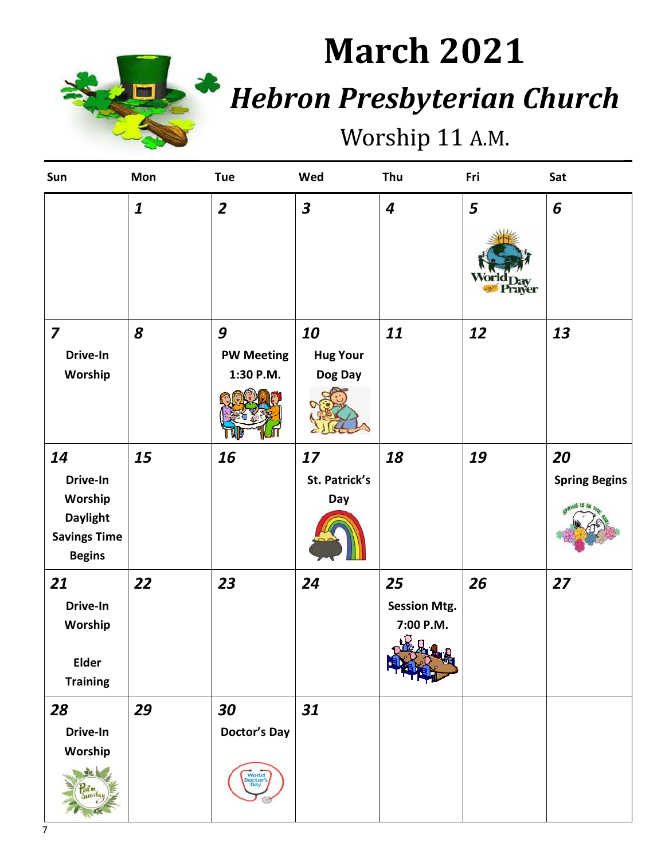

# **March 2021** *Hebron Presbyterian Church*

## Worship 11 A.M.

| Sun                                                                                  | Mon              | <b>Tue</b>                                            | Wed                              | Thu                                                  | Fri               | Sat                        |
|--------------------------------------------------------------------------------------|------------------|-------------------------------------------------------|----------------------------------|------------------------------------------------------|-------------------|----------------------------|
|                                                                                      | $\boldsymbol{1}$ | $\overline{2}$                                        | $\overline{\mathbf{3}}$          | $\boldsymbol{4}$                                     | 5<br><b>Taver</b> | 6                          |
| $\overline{\mathbf{z}}$<br>Drive-In<br>Worship                                       | 8                | 9<br><b>PW Meeting</b><br>1:30 P.M.                   | 10<br><b>Hug Your</b><br>Dog Day | 11                                                   | 12                | 13                         |
| 14<br>Drive-In<br>Worship<br><b>Daylight</b><br><b>Savings Time</b><br><b>Begins</b> | 15               | 16                                                    | 17<br>St. Patrick's<br>Day       | 18                                                   | 19                | 20<br><b>Spring Begins</b> |
| 21<br>Drive-In<br>Worship<br>Elder<br><b>Training</b>                                | 22               | 23                                                    | 24                               | 25<br><b>Session Mtg.</b><br>7:00 P.M.<br>$\sqrt{2}$ | 26                | 27                         |
| 28<br>Drive-In<br>Worship                                                            | 29               | 30<br><b>Doctor's Day</b><br>World<br>Doctor's<br>Day | 31                               |                                                      |                   |                            |